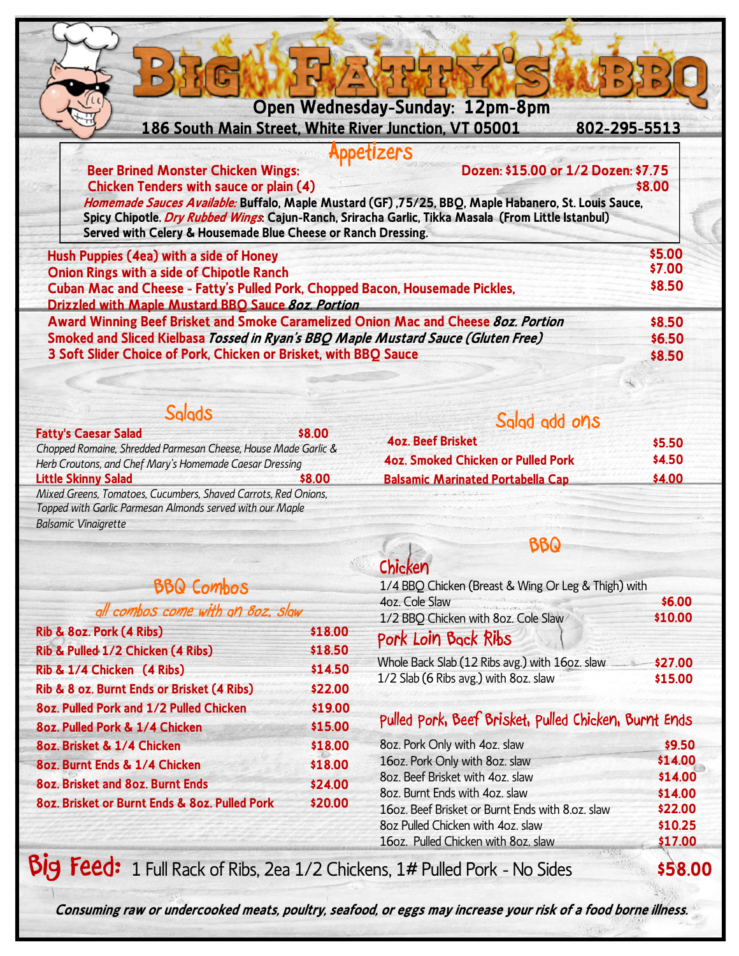|  | Open Wednesday-Sunday: 12pm-8pm |
|--|---------------------------------|
|  |                                 |

**186 South Main Street, White River Junction, VT 05001 802-295-5513**

### **Appetizers**

 **Beer Brined Monster Chicken Wings: Dozen: \$15.00 or 1/2 Dozen: \$7.75 Chicken Tenders with sauce or plain (4) \$8.00**

**Homemade Sauces Available: Buffalo, Maple Mustard (GF) ,75/25, BBQ, Maple Habanero, St. Louis Sauce, Spicy Chipotle. Dry Rubbed Wings: Cajun-Ranch, Sriracha Garlic, Tikka Masala (From Little Istanbul) Served with Celery & Housemade Blue Cheese or Ranch Dressing.**

| \$5.00 |
|--------|
| \$7.00 |
| \$8.50 |
|        |
| \$8.50 |
| \$6.50 |
| \$8.50 |
|        |

 **Salads**

**Fatty's Caesar Salad \$8.00** *Chopped Romaine, Shredded Parmesan Cheese, House Made Garlic & Herb Croutons, and Chef Mary's Homemade Caesar Dressing* **Little Skinny Salad \$8.00** *Mixed Greens, Tomatoes, Cucumbers, Shaved Carrots, Red Onions, Topped with Garlic Parmesan Almonds served with our Maple* 

*Balsamic Vinaigrette*

### **BBQ Combos**

| all combos come with an 8oz. slaw             |         |
|-----------------------------------------------|---------|
| Rib & 8oz. Pork (4 Ribs)                      | \$18.00 |
| Rib & Pulled 1/2 Chicken (4 Ribs)             | \$18.50 |
| Rib & 1/4 Chicken (4 Ribs)                    | \$14.50 |
| Rib & 8 oz. Burnt Ends or Brisket (4 Ribs)    | \$22.00 |
| 8oz. Pulled Pork and 1/2 Pulled Chicken       | \$19.00 |
| 8oz. Pulled Pork & 1/4 Chicken                | \$15.00 |
| 8oz. Brisket & 1/4 Chicken                    | \$18.00 |
| 80z. Burnt Ends & 1/4 Chicken                 | \$18.00 |
| 8oz. Brisket and 8oz. Burnt Ends              | \$24.00 |
| 80z. Brisket or Burnt Ends & 80z. Pulled Pork | \$20.00 |

**4oz. Smoked Chicken or Pulled Pork** 

**4oz. Beef Brisket** 

| Chicken                                             |         |
|-----------------------------------------------------|---------|
| 1/4 BBQ Chicken (Breast & Wing Or Leg & Thigh) with |         |
| 4oz. Cole Slaw                                      | \$6.00  |
| 1/2 BBQ Chicken with 8oz. Cole Slaw                 | \$10.00 |
| Pork Loin Back Ribs                                 |         |
| Whole Back Slab (12 Ribs avg.) with 16oz. slaw      | \$27.00 |
| 1/2 Slab (6 Ribs avg.) with 8oz. slaw               | \$15.00 |

**BBQ**

**Balsamic Marinated Portabella Cap \$4.00**

**Salad add ons**

## **Pulled Pork, Beef Brisket, Pulled Chicken, Burnt Ends**

| 8oz. Pork Only with 4oz. slaw                    | \$9.50  |
|--------------------------------------------------|---------|
| 16oz. Pork Only with 8oz. slaw                   | \$14.00 |
| 8oz. Beef Brisket with 4oz. slaw                 | \$14.00 |
| 8oz. Burnt Ends with 4oz. slaw                   | \$14.00 |
| 16oz. Beef Brisket or Burnt Ends with 8.oz. slaw | \$22.00 |
| 8oz Pulled Chicken with 4oz. slaw                | \$10.25 |
| 16oz. Pulled Chicken with 8oz. slaw              | \$17.00 |
|                                                  |         |

**Big Feed:** 1 Full Rack of Ribs, 2ea 1/2 Chickens, 1# Pulled Pork - No Sides **\$58.00**

 **\$5.50 \$4.50**

**Consuming raw or undercooked meats, poultry, seafood, or eggs may increase your risk of a food borne illness.**